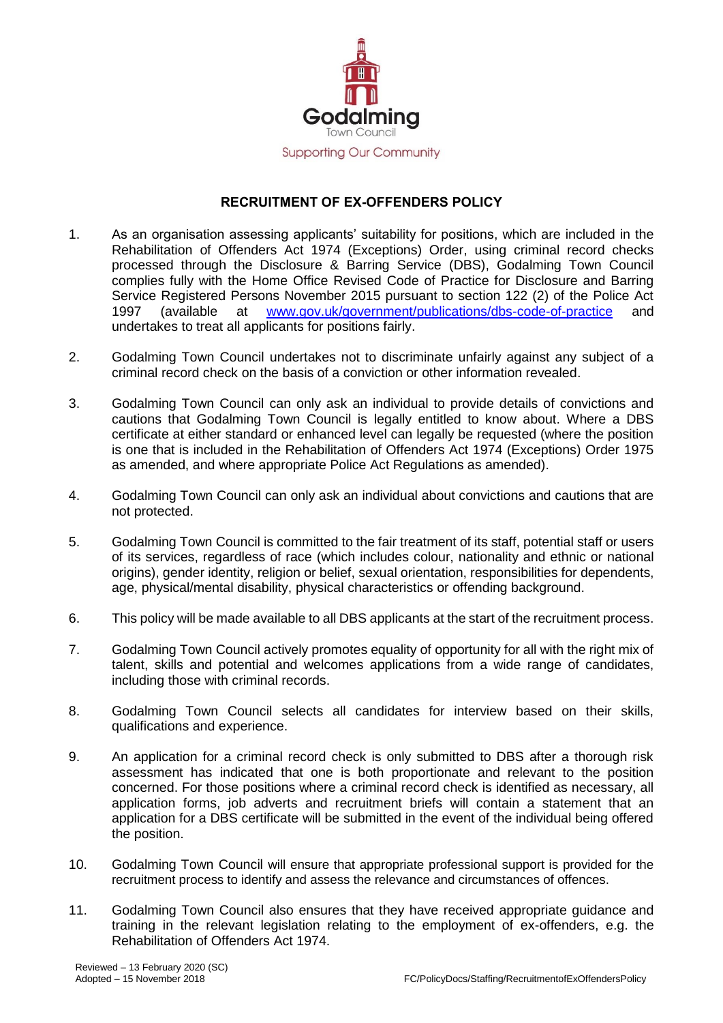

## **RECRUITMENT OF EX-OFFENDERS POLICY**

- 1. As an organisation assessing applicants' suitability for positions, which are included in the Rehabilitation of Offenders Act 1974 (Exceptions) Order, using criminal record checks processed through the Disclosure & Barring Service (DBS), Godalming Town Council complies fully with the Home Office Revised [Code of Practice](https://www.gov.uk/government/publications/dbs-code-of-practice) for Disclosure and Barring Service Registered Persons November 2015 pursuant to section 122 (2) of the Police Act 1997 (available at [www.gov.uk/government/publications/dbs-code-of-practice](http://www.gov.uk/government/publications/dbs-code-of-practice) and undertakes to treat all applicants for positions fairly.
- 2. Godalming Town Council undertakes not to discriminate unfairly against any subject of a criminal record check on the basis of a conviction or other information revealed.
- 3. Godalming Town Council can only ask an individual to provide details of convictions and cautions that Godalming Town Council is legally entitled to know about. Where a DBS certificate at either standard or enhanced level can legally be requested (where the position is one that is included in the Rehabilitation of Offenders Act 1974 (Exceptions) Order 1975 as amended, and where appropriate Police Act Regulations as amended).
- 4. Godalming Town Council can only ask an individual about convictions and cautions that are not protected.
- 5. Godalming Town Council is committed to the fair treatment of its staff, potential staff or users of its services, regardless of race (which includes colour, nationality and ethnic or national origins), gender identity, religion or belief, sexual orientation, responsibilities for dependents, age, physical/mental disability, physical characteristics or offending background.
- 6. This policy will be made available to all DBS applicants at the start of the recruitment process.
- 7. Godalming Town Council actively promotes equality of opportunity for all with the right mix of talent, skills and potential and welcomes applications from a wide range of candidates, including those with criminal records.
- 8. Godalming Town Council selects all candidates for interview based on their skills, qualifications and experience.
- 9. An application for a criminal record check is only submitted to DBS after a thorough risk assessment has indicated that one is both proportionate and relevant to the position concerned. For those positions where a criminal record check is identified as necessary, all application forms, job adverts and recruitment briefs will contain a statement that an application for a DBS certificate will be submitted in the event of the individual being offered the position.
- 10. Godalming Town Council will ensure that appropriate professional support is provided for the recruitment process to identify and assess the relevance and circumstances of offences.
- 11. Godalming Town Council also ensures that they have received appropriate guidance and training in the relevant legislation relating to the employment of ex-offenders, e.g. the Rehabilitation of Offenders Act 1974.